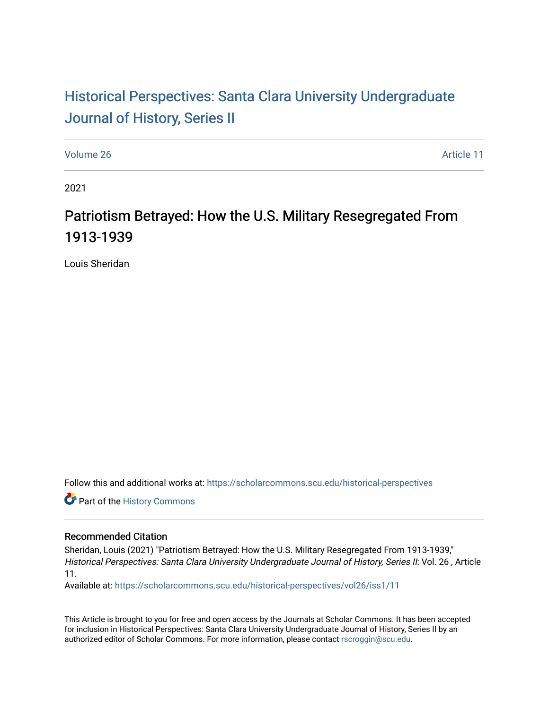# Historical Perspectiv[es: Santa Clara University Under](https://scholarcommons.scu.edu/historical-perspectives)graduate [Journal of History, Series II](https://scholarcommons.scu.edu/historical-perspectives)

[Volume 26](https://scholarcommons.scu.edu/historical-perspectives/vol26) Article 11

2021

# Patriotism Betrayed: How the U.S. Military Resegregated From 1913-1939

Louis Sheridan

Follow this and additional works at: [https://scholarcommons.scu.edu/historical-perspectives](https://scholarcommons.scu.edu/historical-perspectives?utm_source=scholarcommons.scu.edu%2Fhistorical-perspectives%2Fvol26%2Fiss1%2F11&utm_medium=PDF&utm_campaign=PDFCoverPages) 

Part of the [History Commons](http://network.bepress.com/hgg/discipline/489?utm_source=scholarcommons.scu.edu%2Fhistorical-perspectives%2Fvol26%2Fiss1%2F11&utm_medium=PDF&utm_campaign=PDFCoverPages) 

#### Recommended Citation

Sheridan, Louis (2021) "Patriotism Betrayed: How the U.S. Military Resegregated From 1913-1939," Historical Perspectives: Santa Clara University Undergraduate Journal of History, Series II: Vol. 26 , Article 11.

Available at: [https://scholarcommons.scu.edu/historical-perspectives/vol26/iss1/11](https://scholarcommons.scu.edu/historical-perspectives/vol26/iss1/11?utm_source=scholarcommons.scu.edu%2Fhistorical-perspectives%2Fvol26%2Fiss1%2F11&utm_medium=PDF&utm_campaign=PDFCoverPages)

This Article is brought to you for free and open access by the Journals at Scholar Commons. It has been accepted for inclusion in Historical Perspectives: Santa Clara University Undergraduate Journal of History, Series II by an authorized editor of Scholar Commons. For more information, please contact [rscroggin@scu.edu](mailto:rscroggin@scu.edu).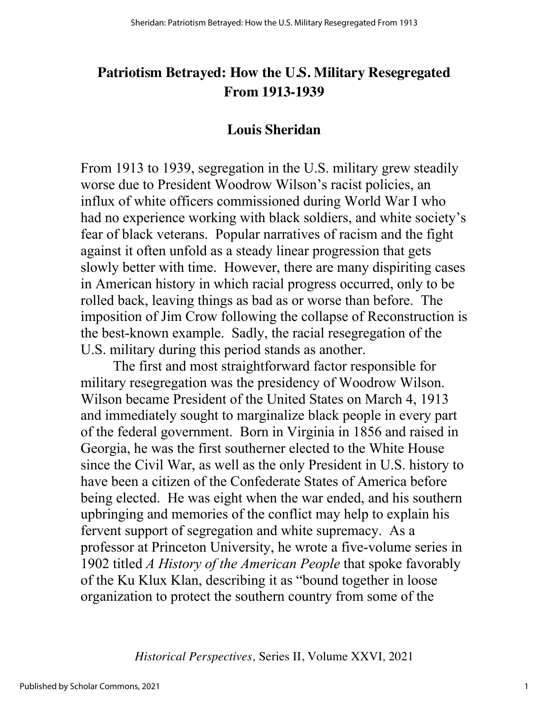## **Patriotism Betrayed: How the U.S. Military Resegregated From 1913-1939**

## **Louis Sheridan**

From 1913 to 1939, segregation in the U.S. military grew steadily worse due to President Woodrow Wilson's racist policies, an influx of white officers commissioned during World War I who had no experience working with black soldiers, and white society's fear of black veterans. Popular narratives of racism and the fight against it often unfold as a steady linear progression that gets slowly better with time. However, there are many dispiriting cases in American history in which racial progress occurred, only to be rolled back, leaving things as bad as or worse than before. The imposition of Jim Crow following the collapse of Reconstruction is the best-known example. Sadly, the racial resegregation of the U.S. military during this period stands as another.

The first and most straightforward factor responsible for military resegregation was the presidency of Woodrow Wilson. Wilson became President of the United States on March 4, 1913 and immediately sought to marginalize black people in every part of the federal government. Born in Virginia in 1856 and raised in Georgia, he was the first southerner elected to the White House since the Civil War, as well as the only President in U.S. history to have been a citizen of the Confederate States of America before being elected. He was eight when the war ended, and his southern upbringing and memories of the conflict may help to explain his fervent support of segregation and white supremacy. As a professor at Princeton University, he wrote a five-volume series in 1902 titled *A History of the American People* that spoke favorably of the Ku Klux Klan, describing it as "bound together in loose organization to protect the southern country from some of the

*Historical Perspectives,* Series II, Volume XXVI*,* 2021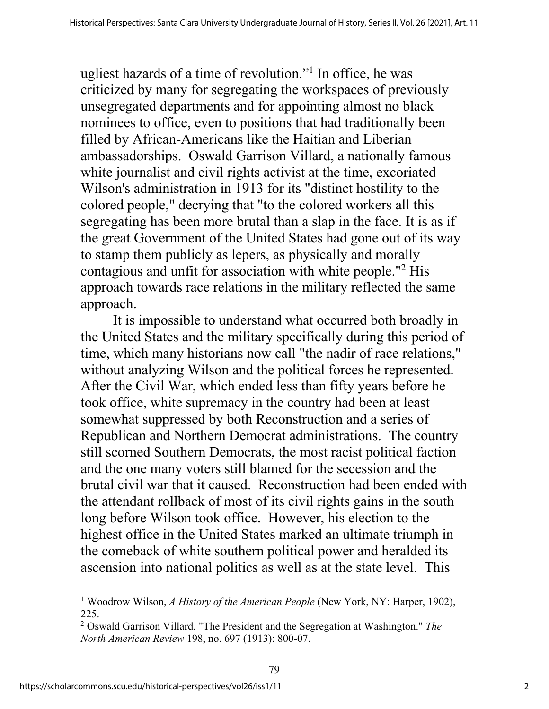ugliest hazards of a time of revolution."1 In office, he was criticized by many for segregating the workspaces of previously unsegregated departments and for appointing almost no black nominees to office, even to positions that had traditionally been filled by African-Americans like the Haitian and Liberian ambassadorships. Oswald Garrison Villard, a nationally famous white journalist and civil rights activist at the time, excoriated Wilson's administration in 1913 for its "distinct hostility to the colored people," decrying that "to the colored workers all this segregating has been more brutal than a slap in the face. It is as if the great Government of the United States had gone out of its way to stamp them publicly as lepers, as physically and morally contagious and unfit for association with white people."2 His approach towards race relations in the military reflected the same approach.

It is impossible to understand what occurred both broadly in the United States and the military specifically during this period of time, which many historians now call "the nadir of race relations," without analyzing Wilson and the political forces he represented. After the Civil War, which ended less than fifty years before he took office, white supremacy in the country had been at least somewhat suppressed by both Reconstruction and a series of Republican and Northern Democrat administrations. The country still scorned Southern Democrats, the most racist political faction and the one many voters still blamed for the secession and the brutal civil war that it caused. Reconstruction had been ended with the attendant rollback of most of its civil rights gains in the south long before Wilson took office. However, his election to the highest office in the United States marked an ultimate triumph in the comeback of white southern political power and heralded its ascension into national politics as well as at the state level. This

<sup>1</sup> Woodrow Wilson, *A History of the American People* (New York, NY: Harper, 1902), 225.

<sup>2</sup> Oswald Garrison Villard, "The President and the Segregation at Washington." *The North American Review* 198, no. 697 (1913): 800-07.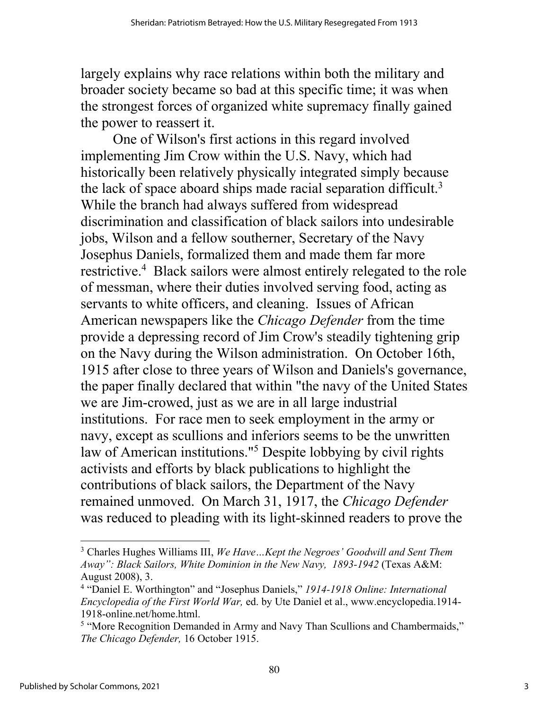largely explains why race relations within both the military and broader society became so bad at this specific time; it was when the strongest forces of organized white supremacy finally gained the power to reassert it.

One of Wilson's first actions in this regard involved implementing Jim Crow within the U.S. Navy, which had historically been relatively physically integrated simply because the lack of space aboard ships made racial separation difficult.<sup>3</sup> While the branch had always suffered from widespread discrimination and classification of black sailors into undesirable jobs, Wilson and a fellow southerner, Secretary of the Navy Josephus Daniels, formalized them and made them far more restrictive.<sup>4</sup> Black sailors were almost entirely relegated to the role of messman, where their duties involved serving food, acting as servants to white officers, and cleaning. Issues of African American newspapers like the *Chicago Defender* from the time provide a depressing record of Jim Crow's steadily tightening grip on the Navy during the Wilson administration. On October 16th, 1915 after close to three years of Wilson and Daniels's governance, the paper finally declared that within "the navy of the United States we are Jim-crowed, just as we are in all large industrial institutions. For race men to seek employment in the army or navy, except as scullions and inferiors seems to be the unwritten law of American institutions."5 Despite lobbying by civil rights activists and efforts by black publications to highlight the contributions of black sailors, the Department of the Navy remained unmoved. On March 31, 1917, the *Chicago Defender*  was reduced to pleading with its light-skinned readers to prove the

<sup>3</sup> Charles Hughes Williams III, *We Have…Kept the Negroes' Goodwill and Sent Them Away": Black Sailors, White Dominion in the New Navy, 1893-1942* (Texas A&M: August 2008), 3.

<sup>4</sup> "Daniel E. Worthington" and "Josephus Daniels," *1914-1918 Online: International Encyclopedia of the First World War,* ed. by Ute Daniel et al., www.encyclopedia.1914- 1918-online.net/home.html.

<sup>&</sup>lt;sup>5</sup> "More Recognition Demanded in Army and Navy Than Scullions and Chambermaids," *The Chicago Defender,* 16 October 1915.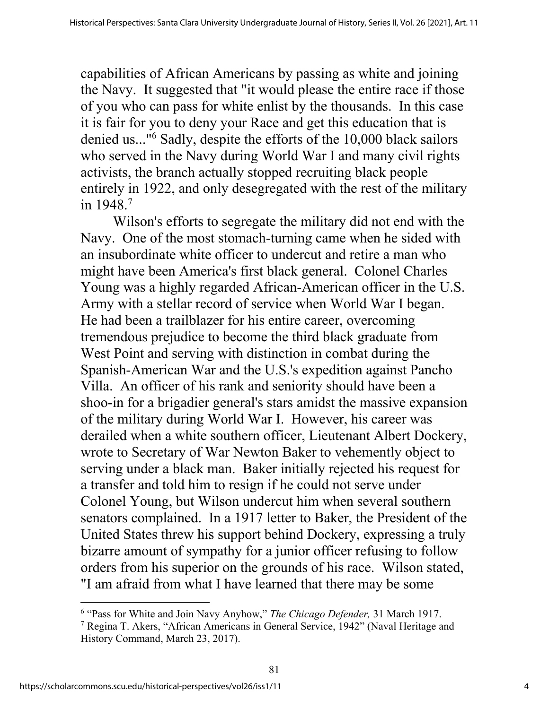capabilities of African Americans by passing as white and joining the Navy. It suggested that "it would please the entire race if those of you who can pass for white enlist by the thousands. In this case it is fair for you to deny your Race and get this education that is denied us..."6 Sadly, despite the efforts of the 10,000 black sailors who served in the Navy during World War I and many civil rights activists, the branch actually stopped recruiting black people entirely in 1922, and only desegregated with the rest of the military in 1948.7

Wilson's efforts to segregate the military did not end with the Navy. One of the most stomach-turning came when he sided with an insubordinate white officer to undercut and retire a man who might have been America's first black general. Colonel Charles Young was a highly regarded African-American officer in the U.S. Army with a stellar record of service when World War I began. He had been a trailblazer for his entire career, overcoming tremendous prejudice to become the third black graduate from West Point and serving with distinction in combat during the Spanish-American War and the U.S.'s expedition against Pancho Villa. An officer of his rank and seniority should have been a shoo-in for a brigadier general's stars amidst the massive expansion of the military during World War I. However, his career was derailed when a white southern officer, Lieutenant Albert Dockery, wrote to Secretary of War Newton Baker to vehemently object to serving under a black man. Baker initially rejected his request for a transfer and told him to resign if he could not serve under Colonel Young, but Wilson undercut him when several southern senators complained. In a 1917 letter to Baker, the President of the United States threw his support behind Dockery, expressing a truly bizarre amount of sympathy for a junior officer refusing to follow orders from his superior on the grounds of his race. Wilson stated, "I am afraid from what I have learned that there may be some

81

<sup>6</sup> "Pass for White and Join Navy Anyhow," *The Chicago Defender,* 31 March 1917.

<sup>7</sup> Regina T. Akers, "African Americans in General Service, 1942" (Naval Heritage and History Command, March 23, 2017).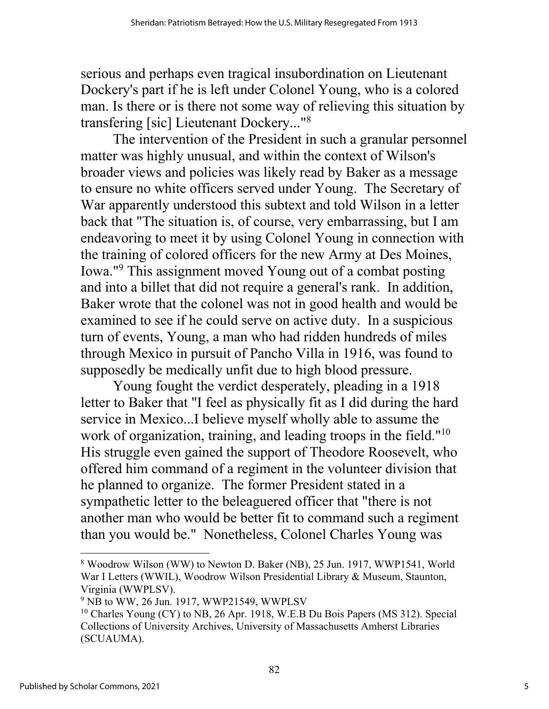serious and perhaps even tragical insubordination on Lieutenant Dockery's part if he is left under Colonel Young, who is a colored man. Is there or is there not some way of relieving this situation by transfering [sic] Lieutenant Dockery..."8

The intervention of the President in such a granular personnel matter was highly unusual, and within the context of Wilson's broader views and policies was likely read by Baker as a message to ensure no white officers served under Young. The Secretary of War apparently understood this subtext and told Wilson in a letter back that "The situation is, of course, very embarrassing, but I am endeavoring to meet it by using Colonel Young in connection with the training of colored officers for the new Army at Des Moines, Iowa."9 This assignment moved Young out of a combat posting and into a billet that did not require a general's rank. In addition, Baker wrote that the colonel was not in good health and would be examined to see if he could serve on active duty. In a suspicious turn of events, Young, a man who had ridden hundreds of miles through Mexico in pursuit of Pancho Villa in 1916, was found to supposedly be medically unfit due to high blood pressure.

Young fought the verdict desperately, pleading in a 1918 letter to Baker that "I feel as physically fit as I did during the hard service in Mexico...I believe myself wholly able to assume the work of organization, training, and leading troops in the field."<sup>10</sup> His struggle even gained the support of Theodore Roosevelt, who offered him command of a regiment in the volunteer division that he planned to organize. The former President stated in a sympathetic letter to the beleaguered officer that "there is not another man who would be better fit to command such a regiment than you would be." Nonetheless, Colonel Charles Young was

<sup>8</sup> Woodrow Wilson (WW) to Newton D. Baker (NB), 25 Jun. 1917, WWP1541, World War I Letters (WWIL), Woodrow Wilson Presidential Library & Museum, Staunton, Virginia (WWPLSV).

 $9$  NB to WW, 26 Jun. 1917, WWP21549, WWPLSV

<sup>&</sup>lt;sup>10</sup> Charles Young (CY) to NB, 26 Apr. 1918, W.E.B Du Bois Papers (MS 312). Special Collections of University Archives, University of Massachusetts Amherst Libraries (SCUAUMA).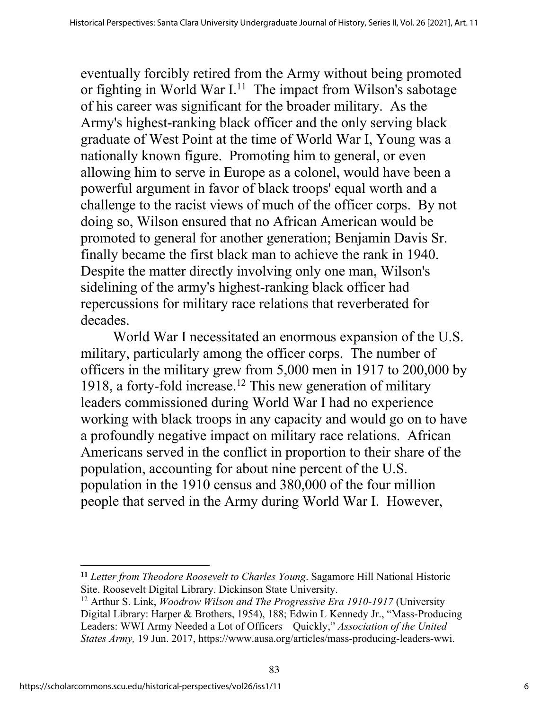eventually forcibly retired from the Army without being promoted or fighting in World War  $I<sup>11</sup>$ . The impact from Wilson's sabotage of his career was significant for the broader military. As the Army's highest-ranking black officer and the only serving black graduate of West Point at the time of World War I, Young was a nationally known figure. Promoting him to general, or even allowing him to serve in Europe as a colonel, would have been a powerful argument in favor of black troops' equal worth and a challenge to the racist views of much of the officer corps. By not doing so, Wilson ensured that no African American would be promoted to general for another generation; Benjamin Davis Sr. finally became the first black man to achieve the rank in 1940. Despite the matter directly involving only one man, Wilson's sidelining of the army's highest-ranking black officer had repercussions for military race relations that reverberated for decades.

World War I necessitated an enormous expansion of the U.S. military, particularly among the officer corps. The number of officers in the military grew from 5,000 men in 1917 to 200,000 by 1918, a forty-fold increase.<sup>12</sup> This new generation of military leaders commissioned during World War I had no experience working with black troops in any capacity and would go on to have a profoundly negative impact on military race relations. African Americans served in the conflict in proportion to their share of the population, accounting for about nine percent of the U.S. population in the 1910 census and 380,000 of the four million people that served in the Army during World War I. However,

**<sup>11</sup>** *Letter from Theodore Roosevelt to Charles Young*. Sagamore Hill National Historic Site. Roosevelt Digital Library. Dickinson State University.

<sup>12</sup> Arthur S. Link, *Woodrow Wilson and The Progressive Era 1910-1917* (University Digital Library: Harper & Brothers, 1954), 188; Edwin L Kennedy Jr., "Mass-Producing Leaders: WWI Army Needed a Lot of Officers—Quickly," *Association of the United States Army,* 19 Jun. 2017, https://www.ausa.org/articles/mass-producing-leaders-wwi.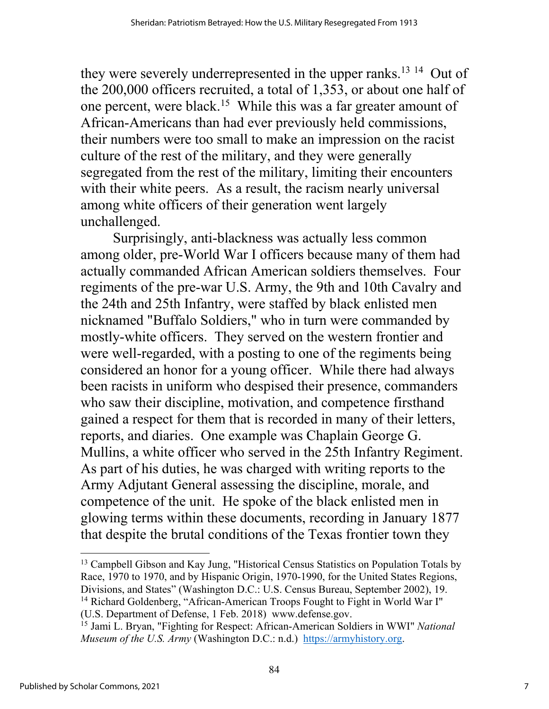they were severely underrepresented in the upper ranks.<sup>13 14</sup> Out of the 200,000 officers recruited, a total of 1,353, or about one half of one percent, were black.15 While this was a far greater amount of African-Americans than had ever previously held commissions, their numbers were too small to make an impression on the racist culture of the rest of the military, and they were generally segregated from the rest of the military, limiting their encounters with their white peers. As a result, the racism nearly universal among white officers of their generation went largely unchallenged.

Surprisingly, anti-blackness was actually less common among older, pre-World War I officers because many of them had actually commanded African American soldiers themselves. Four regiments of the pre-war U.S. Army, the 9th and 10th Cavalry and the 24th and 25th Infantry, were staffed by black enlisted men nicknamed "Buffalo Soldiers," who in turn were commanded by mostly-white officers. They served on the western frontier and were well-regarded, with a posting to one of the regiments being considered an honor for a young officer. While there had always been racists in uniform who despised their presence, commanders who saw their discipline, motivation, and competence firsthand gained a respect for them that is recorded in many of their letters, reports, and diaries. One example was Chaplain George G. Mullins, a white officer who served in the 25th Infantry Regiment. As part of his duties, he was charged with writing reports to the Army Adjutant General assessing the discipline, morale, and competence of the unit. He spoke of the black enlisted men in glowing terms within these documents, recording in January 1877 that despite the brutal conditions of the Texas frontier town they

<sup>&</sup>lt;sup>13</sup> Campbell Gibson and Kay Jung, "Historical Census Statistics on Population Totals by Race, 1970 to 1970, and by Hispanic Origin, 1970-1990, for the United States Regions, Divisions, and States" (Washington D.C.: U.S. Census Bureau, September 2002), 19. <sup>14</sup> Richard Goldenberg, "African-American Troops Fought to Fight in World War I" (U.S. Department of Defense, 1 Feb. 2018) www.defense.gov.

<sup>15</sup> Jami L. Bryan, "Fighting for Respect: African-American Soldiers in WWI" *National Museum of the U.S. Army* (Washington D.C.: n.d.) https://armyhistory.org.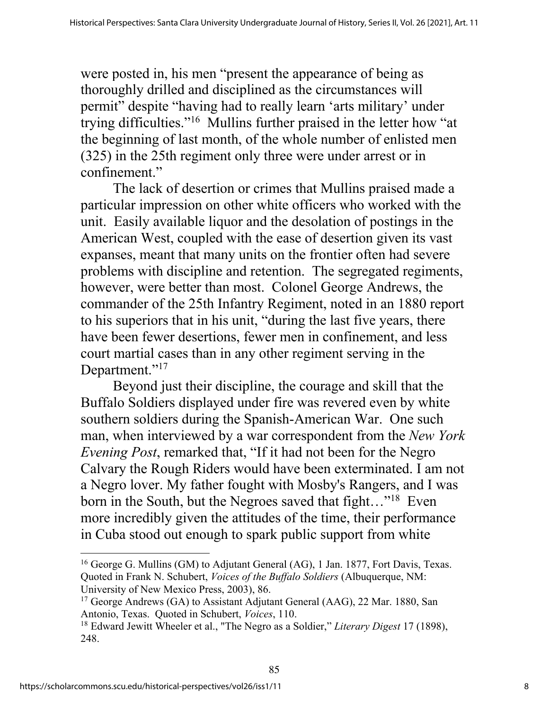were posted in, his men "present the appearance of being as thoroughly drilled and disciplined as the circumstances will permit" despite "having had to really learn 'arts military' under trying difficulties."16 Mullins further praised in the letter how "at the beginning of last month, of the whole number of enlisted men (325) in the 25th regiment only three were under arrest or in confinement."

The lack of desertion or crimes that Mullins praised made a particular impression on other white officers who worked with the unit. Easily available liquor and the desolation of postings in the American West, coupled with the ease of desertion given its vast expanses, meant that many units on the frontier often had severe problems with discipline and retention. The segregated regiments, however, were better than most. Colonel George Andrews, the commander of the 25th Infantry Regiment, noted in an 1880 report to his superiors that in his unit, "during the last five years, there have been fewer desertions, fewer men in confinement, and less court martial cases than in any other regiment serving in the Department."<sup>17</sup>

Beyond just their discipline, the courage and skill that the Buffalo Soldiers displayed under fire was revered even by white southern soldiers during the Spanish-American War. One such man, when interviewed by a war correspondent from the *New York Evening Post*, remarked that, "If it had not been for the Negro Calvary the Rough Riders would have been exterminated. I am not a Negro lover. My father fought with Mosby's Rangers, and I was born in the South, but the Negroes saved that fight..."<sup>18</sup> Even more incredibly given the attitudes of the time, their performance in Cuba stood out enough to spark public support from white

<sup>&</sup>lt;sup>16</sup> George G. Mullins (GM) to Adjutant General (AG), 1 Jan. 1877, Fort Davis, Texas. Quoted in Frank N. Schubert, *Voices of the Buffalo Soldiers* (Albuquerque, NM: University of New Mexico Press, 2003), 86.

<sup>&</sup>lt;sup>17</sup> George Andrews (GA) to Assistant Adjutant General (AAG), 22 Mar. 1880, San Antonio, Texas. Quoted in Schubert, *Voices*, 110.

<sup>18</sup> Edward Jewitt Wheeler et al., "The Negro as a Soldier," *Literary Digest* 17 (1898), 248.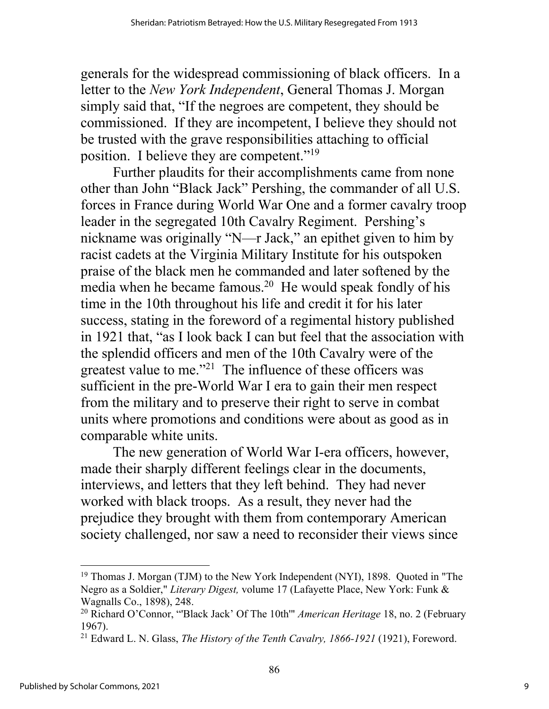generals for the widespread commissioning of black officers. In a letter to the *New York Independent*, General Thomas J. Morgan simply said that, "If the negroes are competent, they should be commissioned. If they are incompetent, I believe they should not be trusted with the grave responsibilities attaching to official position. I believe they are competent."19

Further plaudits for their accomplishments came from none other than John "Black Jack" Pershing, the commander of all U.S. forces in France during World War One and a former cavalry troop leader in the segregated 10th Cavalry Regiment. Pershing's nickname was originally "N—r Jack," an epithet given to him by racist cadets at the Virginia Military Institute for his outspoken praise of the black men he commanded and later softened by the media when he became famous.<sup>20</sup> He would speak fondly of his time in the 10th throughout his life and credit it for his later success, stating in the foreword of a regimental history published in 1921 that, "as I look back I can but feel that the association with the splendid officers and men of the 10th Cavalry were of the greatest value to me."21 The influence of these officers was sufficient in the pre-World War I era to gain their men respect from the military and to preserve their right to serve in combat units where promotions and conditions were about as good as in comparable white units.

The new generation of World War I-era officers, however, made their sharply different feelings clear in the documents, interviews, and letters that they left behind. They had never worked with black troops. As a result, they never had the prejudice they brought with them from contemporary American society challenged, nor saw a need to reconsider their views since

<sup>&</sup>lt;sup>19</sup> Thomas J. Morgan (TJM) to the New York Independent (NYI), 1898. Ouoted in "The Negro as a Soldier," *Literary Digest,* volume 17 (Lafayette Place, New York: Funk & Wagnalls Co., 1898), 248.

<sup>20</sup> Richard O'Connor, "'Black Jack' Of The 10th'" *American Heritage* 18, no. 2 (February 1967).

<sup>21</sup> Edward L. N. Glass, *The History of the Tenth Cavalry, 1866-1921* (1921), Foreword.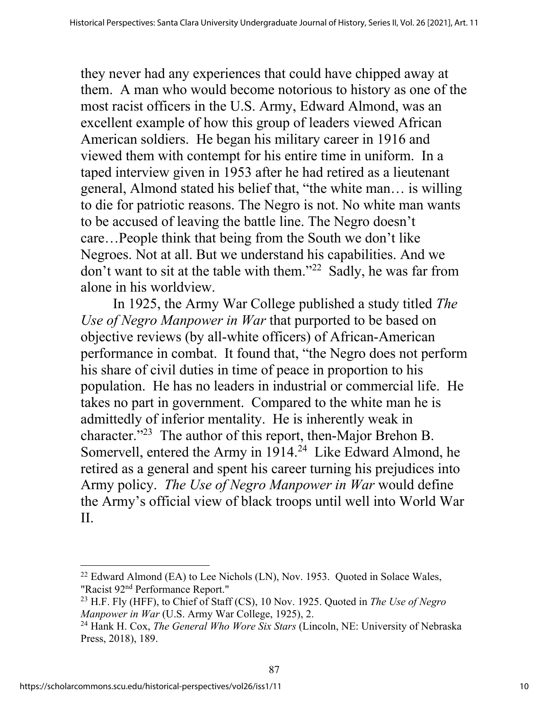they never had any experiences that could have chipped away at them. A man who would become notorious to history as one of the most racist officers in the U.S. Army, Edward Almond, was an excellent example of how this group of leaders viewed African American soldiers. He began his military career in 1916 and viewed them with contempt for his entire time in uniform. In a taped interview given in 1953 after he had retired as a lieutenant general, Almond stated his belief that, "the white man… is willing to die for patriotic reasons. The Negro is not. No white man wants to be accused of leaving the battle line. The Negro doesn't care…People think that being from the South we don't like Negroes. Not at all. But we understand his capabilities. And we don't want to sit at the table with them."<sup>22</sup> Sadly, he was far from alone in his worldview.

In 1925, the Army War College published a study titled *The Use of Negro Manpower in War* that purported to be based on objective reviews (by all-white officers) of African-American performance in combat. It found that, "the Negro does not perform his share of civil duties in time of peace in proportion to his population. He has no leaders in industrial or commercial life. He takes no part in government. Compared to the white man he is admittedly of inferior mentality. He is inherently weak in character."23 The author of this report, then-Major Brehon B. Somervell, entered the Army in 1914.<sup>24</sup> Like Edward Almond, he retired as a general and spent his career turning his prejudices into Army policy. *The Use of Negro Manpower in War* would define the Army's official view of black troops until well into World War II.

<sup>&</sup>lt;sup>22</sup> Edward Almond (EA) to Lee Nichols (LN), Nov. 1953. Quoted in Solace Wales, "Racist 92nd Performance Report."

<sup>23</sup> H.F. Fly (HFF), to Chief of Staff (CS), 10 Nov. 1925. Quoted in *The Use of Negro Manpower in War* (U.S. Army War College, 1925), 2.

<sup>24</sup> Hank H. Cox, *The General Who Wore Six Stars* (Lincoln, NE: University of Nebraska Press, 2018), 189.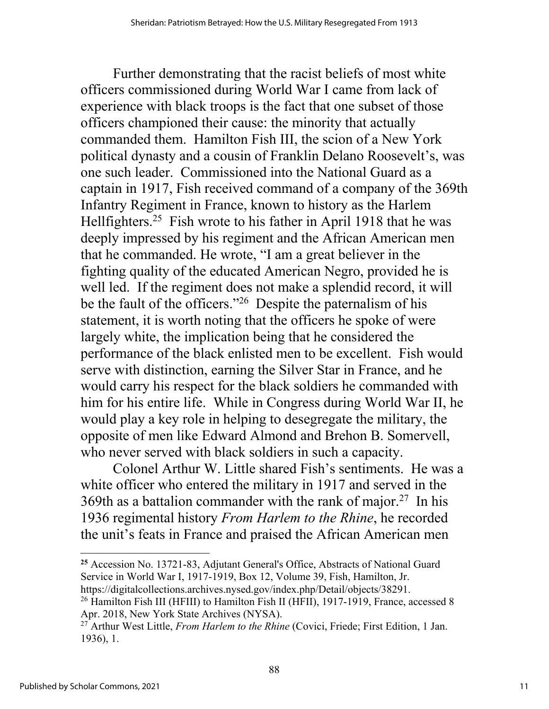Further demonstrating that the racist beliefs of most white officers commissioned during World War I came from lack of experience with black troops is the fact that one subset of those officers championed their cause: the minority that actually commanded them. Hamilton Fish III, the scion of a New York political dynasty and a cousin of Franklin Delano Roosevelt's, was one such leader. Commissioned into the National Guard as a captain in 1917, Fish received command of a company of the 369th Infantry Regiment in France, known to history as the Harlem Hellfighters.25 Fish wrote to his father in April 1918 that he was deeply impressed by his regiment and the African American men that he commanded. He wrote, "I am a great believer in the fighting quality of the educated American Negro, provided he is well led. If the regiment does not make a splendid record, it will be the fault of the officers."<sup>26</sup> Despite the paternalism of his statement, it is worth noting that the officers he spoke of were largely white, the implication being that he considered the performance of the black enlisted men to be excellent. Fish would serve with distinction, earning the Silver Star in France, and he would carry his respect for the black soldiers he commanded with him for his entire life. While in Congress during World War II, he would play a key role in helping to desegregate the military, the opposite of men like Edward Almond and Brehon B. Somervell, who never served with black soldiers in such a capacity.

Colonel Arthur W. Little shared Fish's sentiments. He was a white officer who entered the military in 1917 and served in the 369th as a battalion commander with the rank of major.<sup>27</sup> In his 1936 regimental history *From Harlem to the Rhine*, he recorded the unit's feats in France and praised the African American men

**<sup>25</sup>** Accession No. 13721-83, Adjutant General's Office, Abstracts of National Guard Service in World War I, 1917-1919, Box 12, Volume 39, Fish, Hamilton, Jr. https://digitalcollections.archives.nysed.gov/index.php/Detail/objects/38291.

<sup>&</sup>lt;sup>26</sup> Hamilton Fish III (HFIII) to Hamilton Fish II (HFII), 1917-1919, France, accessed 8 Apr. 2018, New York State Archives (NYSA).

<sup>27</sup> Arthur West Little, *From Harlem to the Rhine* (Covici, Friede; First Edition, 1 Jan. 1936), 1.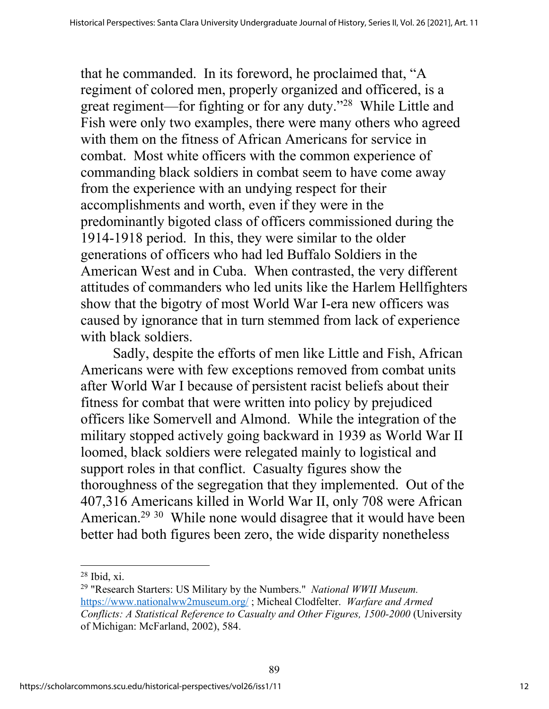that he commanded. In its foreword, he proclaimed that, "A regiment of colored men, properly organized and officered, is a great regiment—for fighting or for any duty."28 While Little and Fish were only two examples, there were many others who agreed with them on the fitness of African Americans for service in combat. Most white officers with the common experience of commanding black soldiers in combat seem to have come away from the experience with an undying respect for their accomplishments and worth, even if they were in the predominantly bigoted class of officers commissioned during the 1914-1918 period. In this, they were similar to the older generations of officers who had led Buffalo Soldiers in the American West and in Cuba. When contrasted, the very different attitudes of commanders who led units like the Harlem Hellfighters show that the bigotry of most World War I-era new officers was caused by ignorance that in turn stemmed from lack of experience with black soldiers.

Sadly, despite the efforts of men like Little and Fish, African Americans were with few exceptions removed from combat units after World War I because of persistent racist beliefs about their fitness for combat that were written into policy by prejudiced officers like Somervell and Almond. While the integration of the military stopped actively going backward in 1939 as World War II loomed, black soldiers were relegated mainly to logistical and support roles in that conflict. Casualty figures show the thoroughness of the segregation that they implemented. Out of the 407,316 Americans killed in World War II, only 708 were African American.<sup>29 30</sup> While none would disagree that it would have been better had both figures been zero, the wide disparity nonetheless

 $28$  Ibid, xi.

<sup>29</sup> "Research Starters: US Military by the Numbers." *National WWII Museum.* https://www.nationalww2museum.org/ ; Micheal Clodfelter. *Warfare and Armed Conflicts: A Statistical Reference to Casualty and Other Figures, 1500-2000* (University of Michigan: McFarland, 2002), 584.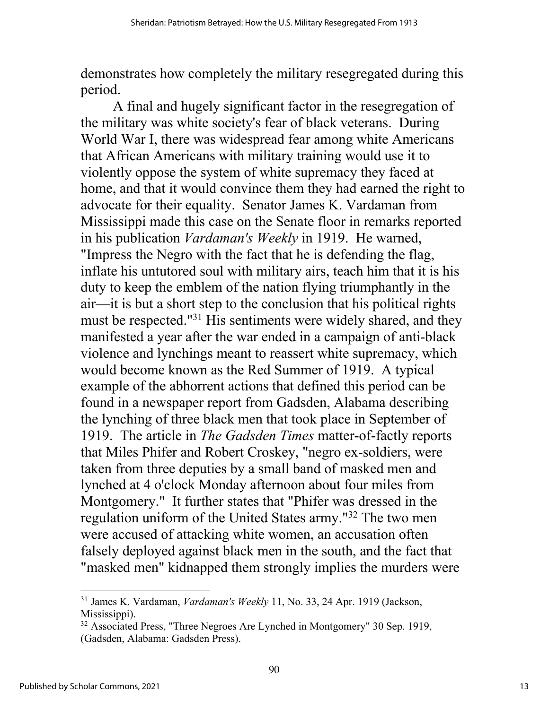demonstrates how completely the military resegregated during this period.

A final and hugely significant factor in the resegregation of the military was white society's fear of black veterans. During World War I, there was widespread fear among white Americans that African Americans with military training would use it to violently oppose the system of white supremacy they faced at home, and that it would convince them they had earned the right to advocate for their equality. Senator James K. Vardaman from Mississippi made this case on the Senate floor in remarks reported in his publication *Vardaman's Weekly* in 1919. He warned, "Impress the Negro with the fact that he is defending the flag, inflate his untutored soul with military airs, teach him that it is his duty to keep the emblem of the nation flying triumphantly in the air—it is but a short step to the conclusion that his political rights must be respected."31 His sentiments were widely shared, and they manifested a year after the war ended in a campaign of anti-black violence and lynchings meant to reassert white supremacy, which would become known as the Red Summer of 1919. A typical example of the abhorrent actions that defined this period can be found in a newspaper report from Gadsden, Alabama describing the lynching of three black men that took place in September of 1919. The article in *The Gadsden Times* matter-of-factly reports that Miles Phifer and Robert Croskey, "negro ex-soldiers, were taken from three deputies by a small band of masked men and lynched at 4 o'clock Monday afternoon about four miles from Montgomery." It further states that "Phifer was dressed in the regulation uniform of the United States army."32 The two men were accused of attacking white women, an accusation often falsely deployed against black men in the south, and the fact that "masked men" kidnapped them strongly implies the murders were

<sup>31</sup> James K. Vardaman, *Vardaman's Weekly* 11, No. 33, 24 Apr. 1919 (Jackson, Mississippi).

<sup>&</sup>lt;sup>32</sup> Associated Press, "Three Negroes Are Lynched in Montgomery" 30 Sep. 1919, (Gadsden, Alabama: Gadsden Press).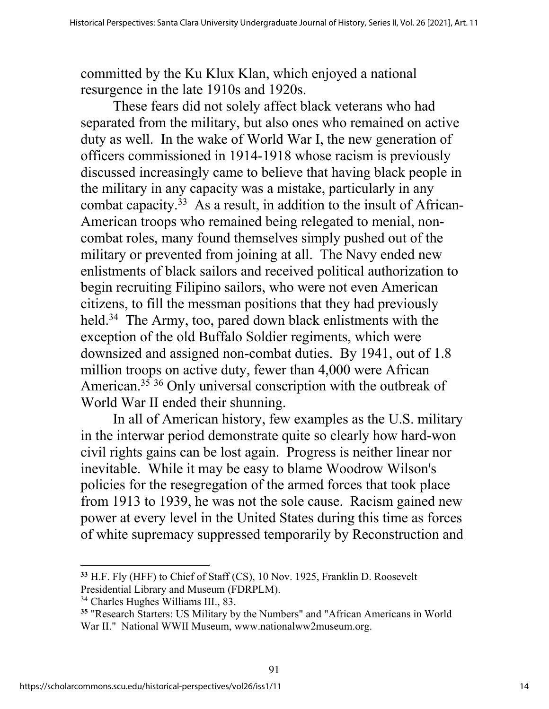committed by the Ku Klux Klan, which enjoyed a national resurgence in the late 1910s and 1920s.

These fears did not solely affect black veterans who had separated from the military, but also ones who remained on active duty as well. In the wake of World War I, the new generation of officers commissioned in 1914-1918 whose racism is previously discussed increasingly came to believe that having black people in the military in any capacity was a mistake, particularly in any combat capacity.33 As a result, in addition to the insult of African-American troops who remained being relegated to menial, noncombat roles, many found themselves simply pushed out of the military or prevented from joining at all. The Navy ended new enlistments of black sailors and received political authorization to begin recruiting Filipino sailors, who were not even American citizens, to fill the messman positions that they had previously held.<sup>34</sup> The Army, too, pared down black enlistments with the exception of the old Buffalo Soldier regiments, which were downsized and assigned non-combat duties. By 1941, out of 1.8 million troops on active duty, fewer than 4,000 were African American.<sup>35</sup> <sup>36</sup> Only universal conscription with the outbreak of World War II ended their shunning.

In all of American history, few examples as the U.S. military in the interwar period demonstrate quite so clearly how hard-won civil rights gains can be lost again. Progress is neither linear nor inevitable. While it may be easy to blame Woodrow Wilson's policies for the resegregation of the armed forces that took place from 1913 to 1939, he was not the sole cause. Racism gained new power at every level in the United States during this time as forces of white supremacy suppressed temporarily by Reconstruction and

**<sup>33</sup>** H.F. Fly (HFF) to Chief of Staff (CS), 10 Nov. 1925, Franklin D. Roosevelt Presidential Library and Museum (FDRPLM).

<sup>34</sup> Charles Hughes Williams III., 83.

**<sup>35</sup>** "Research Starters: US Military by the Numbers" and "African Americans in World War II." National WWII Museum, www.nationalww2museum.org.